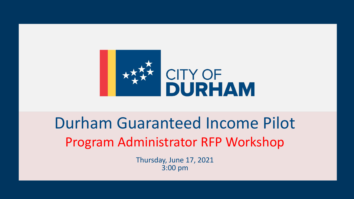

# Durham Guaranteed Income Pilot Program Administrator RFP Workshop

Thursday, June 17, 2021 3:00 pm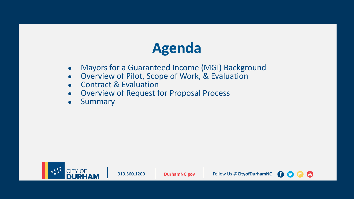## **Agenda**

- Mayors for a Guaranteed Income (MGI) Background
- Overview of Pilot, Scope of Work, & Evaluation
- **Contract & Evaluation**
- Overview of Request for Proposal Process
- Summary



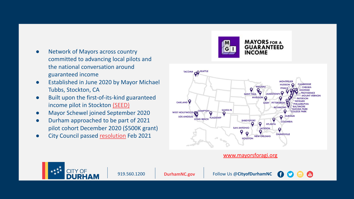- Network of Mayors across country committed to advancing local pilots and the national conversation around guaranteed income
- Established in June 2020 by Mayor Michael Tubbs, Stockton, CA
- Built upon the first-of-its-kind guaranteed income pilot in Stockton [\(SEED\)](https://www.stocktondemonstration.org/)
- Mayor Schewel joined September 2020
- Durham approached to be part of 2021 pilot cohort December 2020 (\$500K grant)
- City Council passed [resolution](https://drive.google.com/file/d/1zNxRa3xZSAnUogzcX5aev-eBU6zyZc__/view?usp=sharing) Feb 2021





O  $\boldsymbol{\sigma}$   $\left( \bigcirc \right)$  $\begin{pmatrix} \gamma_{01} \\ \overline{100} \end{pmatrix}$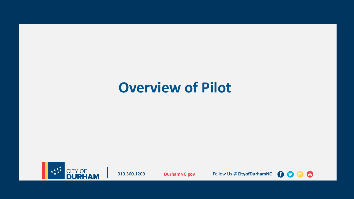#### **Overview of Pilot**



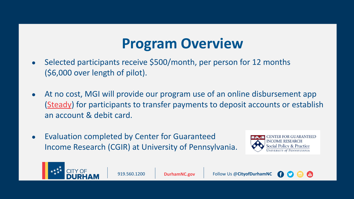#### **Program Overview**

- Selected participants receive \$500/month, per person for 12 months (\$6,000 over length of pilot).
- At no cost, MGI will provide our program use of an online disbursement app [\(Steady](https://www.dropbox.com/s/1kau8qgsm642kxp/Steady%20-%20MGI%20Walkthrough%20Video.mp4?dl=0)) for participants to transfer payments to deposit accounts or establish an account & debit card.
- Evaluation completed by Center for Guaranteed Income Research (CGIR) at University of Pennsylvania.





919.560.1200 **DurhamNC.gov** Follow Us @**CityofDurhamNC**

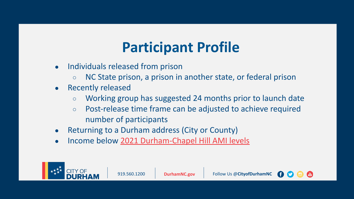## **Participant Profile**

- Individuals released from prison
	- NC State prison, a prison in another state, or federal prison
- Recently released
	- Working group has suggested 24 months prior to launch date
	- Post-release time frame can be adjusted to achieve required number of participants
- Returning to a Durham address (City or County)
- Income below [2021 Durham-Chapel Hill AMI levels](https://drive.google.com/file/d/12Yrnh_BHnz6E-Ngh3V843S3CLWYALkcs/view?usp=sharing)



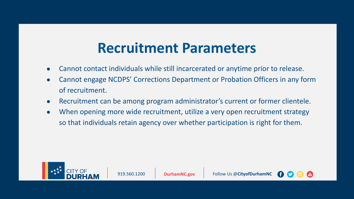#### **Recruitment Parameters**

- Cannot contact individuals while still incarcerated or anytime prior to release.
- Cannot engage NCDPS' Corrections Department or Probation Officers in any form of recruitment.
- Recruitment can be among program administrator's current or former clientele.
- When opening more wide recruitment, utilize a very open recruitment strategy so that individuals retain agency over whether participation is right for them.



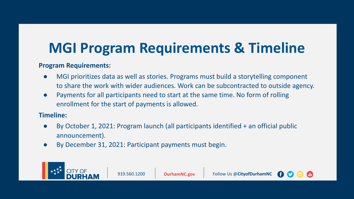## **MGI Program Requirements & Timeline**

#### **Program Requirements:**

- MGI prioritizes data as well as stories. Programs must build a storytelling component to share the work with wider audiences. Work can be subcontracted to outside agency.
- Payments for all participants need to start at the same time. No form of rolling enrollment for the start of payments is allowed.

#### **Timeline:**

- By October 1, 2021: Program launch (all participants identified + an official public announcement).
- By December 31, 2021: Participant payments must begin.



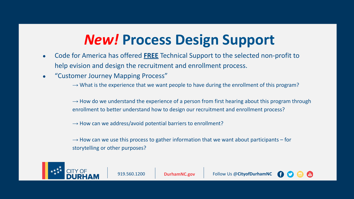## *New!* **Process Design Support**

- Code for America has offered **FREE** Technical Support to the selected non-profit to help evision and design the recruitment and enrollment process.
- "Customer Journey Mapping Process"

 $\rightarrow$  What is the experience that we want people to have during the enrollment of this program?

 $\rightarrow$  How do we understand the experience of a person from first hearing about this program through enrollment to better understand how to design our recruitment and enrollment process?

 $\rightarrow$  How can we address/avoid potential barriers to enrollment?

 $\rightarrow$  How can we use this process to gather information that we want about participants – for storytelling or other purposes?



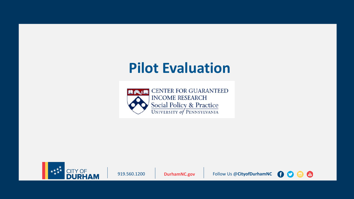#### **Pilot Evaluation**





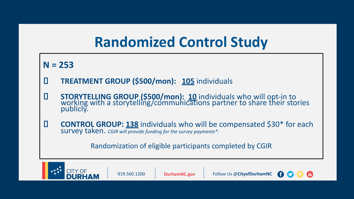#### **Randomized Control Study**





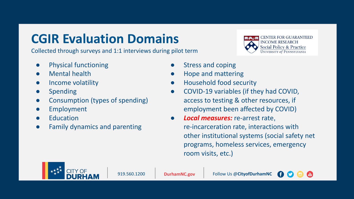#### **CGIR Evaluation Domains**

Collected through surveys and 1:1 interviews during pilot term

- Physical functioning
- **Mental health**
- Income volatility
- **Spending**
- Consumption (types of spending)
- **Employment**
- Education
- Family dynamics and parenting
- 
- Stress and coping
- Hope and mattering
- Household food security
- COVID-19 variables (if they had COVID, access to testing & other resources, if employment been affected by COVID)
- *● Local measures:* re-arrest rate, re-incarceration rate, interactions with other institutional systems (social safety net programs, homeless services, emergency room visits, etc.)





NTER FOR GUARANTEED.

INCOME RESEARCH Social Policy & Practice UNIVERSITY of PENNSYLVANIA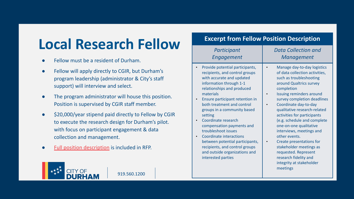### **Local Research Fellow**

- Fellow must be a resident of Durham.
- Fellow will apply directly to CGIR, but Durham's program leadership (administrator & City's staff support) will interview and select.
- The program administrator will house this position. Position is supervised by CGIR staff member.
- \$20,000/year stipend paid directly to Fellow by CGIR to execute the research design for Durham's pilot. with focus on participant engagement & data collection and management.
- **Full position description** is included in RFP.

| <b>Excerpt from Fellow Position Description</b>                                                                                                                                                                                                                                                                                                                                                                                                                                                                                |                                                                                                                                                                                                                                                                                                                                                                                                                                                                                                                                            |
|--------------------------------------------------------------------------------------------------------------------------------------------------------------------------------------------------------------------------------------------------------------------------------------------------------------------------------------------------------------------------------------------------------------------------------------------------------------------------------------------------------------------------------|--------------------------------------------------------------------------------------------------------------------------------------------------------------------------------------------------------------------------------------------------------------------------------------------------------------------------------------------------------------------------------------------------------------------------------------------------------------------------------------------------------------------------------------------|
| Participant<br>Engagement                                                                                                                                                                                                                                                                                                                                                                                                                                                                                                      | <b>Data Collection and</b><br>Management                                                                                                                                                                                                                                                                                                                                                                                                                                                                                                   |
| Provide potential participants,<br>recipients, and control groups<br>with accurate and updated<br>information through 1-1<br>relationships and produced<br>materials<br>Ensure participant retention in<br>$\bullet$<br>both treatment and control<br>groups in a community based<br>setting<br>Coordinate research<br>compensation payments and<br>troubleshoot issues<br>Coordinate interactions<br>between potential participants,<br>recipients, and control groups<br>and outside organizations and<br>interested parties | Manage day-to-day logistics<br>of data collection activities,<br>such as troubleshooting<br>around Qualtrics survey<br>completion<br>Issuing reminders around<br>survey completion deadlines<br>Coordinate day-to-day<br>qualitative research-related<br>activities for participants<br>(e.g. schedule and complete<br>one-on-one qualitative<br>interviews, meetings and<br>other events.<br>Create presentations for<br>stakeholder meetings as<br>requested. Represent<br>research fidelity and<br>integrity at stakeholder<br>meetings |
|                                                                                                                                                                                                                                                                                                                                                                                                                                                                                                                                |                                                                                                                                                                                                                                                                                                                                                                                                                                                                                                                                            |



919.560.1200 **DurhamNC.gov** Follow Us @**CityofDurhamNC**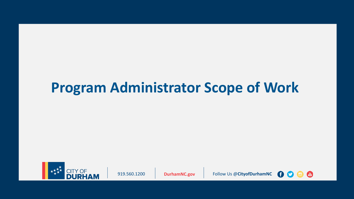#### **Program Administrator Scope of Work**



919.560.1200 **DurhamNC.gov** Follow Us @**CityofDurhamNC**

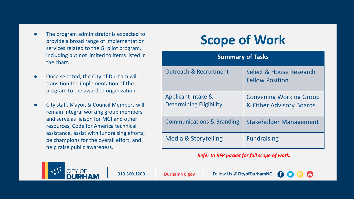- The program administrator is expected to provide a broad range of implementation services related to the GI pilot program, including but not limited to items listed in the chart.
- Once selected, the City of Durham will transition the implementation of the program to the awarded organization.
- City staff, Mayor, & Council Members will remain integral working group members and serve as liaison for MGI and other resources, Code for America technical assistance, assist with fundraising efforts, be champions for the overall effort, and help raise public awareness.

#### **Scope of Work**

| <b>Summary of Tasks</b>                              |                                                           |  |
|------------------------------------------------------|-----------------------------------------------------------|--|
| <b>Outreach &amp; Recruitment</b>                    | Select & House Research<br><b>Fellow Position</b>         |  |
| Applicant Intake &<br><b>Determining Eligibility</b> | <b>Convening Working Group</b><br>& Other Advisory Boards |  |
| <b>Communications &amp; Branding</b>                 | Stakeholder Management                                    |  |
| <b>Media &amp; Storytelling</b>                      | <b>Fundraising</b>                                        |  |

#### *Refer to RFP packet for full scope of work.*



L

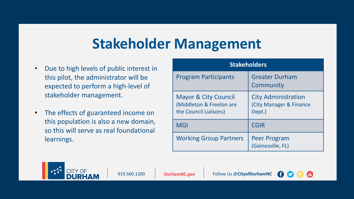#### **Stakeholder Management**

- Due to high levels of public interest in<br>this pilot, the administrator will be this pilot, the administrator will be expected to perform a high-level of stakeholder management.
- The effects of guaranteed income on this population is also a new domain, so this will serve as real foundational learnings.

| <b>Stakeholders</b>                                                                  |                                                                 |  |  |
|--------------------------------------------------------------------------------------|-----------------------------------------------------------------|--|--|
| <b>Program Participants</b>                                                          | <b>Greater Durham</b><br>Community                              |  |  |
| <b>Mayor &amp; City Council</b><br>(Middleton & Freelon are<br>the Council Liaisons) | <b>City Administration</b><br>(City Manager & Finance<br>Dept.) |  |  |
| <b>MGI</b>                                                                           | <b>CGIR</b>                                                     |  |  |
| <b>Working Group Partners</b>                                                        | <b>Peer Program</b><br>(Gainesville, FL)                        |  |  |



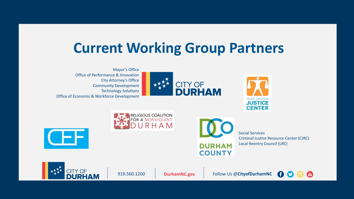### **Current Working Group Partners**

Mayor's Office Office of Performance & Innovation City Attorney's Office Community Development Technology Solutions Office of Economic & Workforce Development











Social Services Criminal Justice Resource Center (CJRC) Local Reentry Council (LRC)



919.560.1200 **DurhamNC.gov** Follow Us @**CityofDurhamNC**

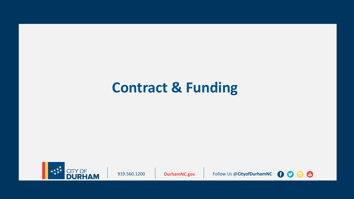#### **Contract & Funding**



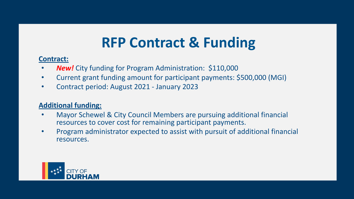### **RFP Contract & Funding**

#### **Contract:**

- *New!* City funding for Program Administration: \$110,000
- Current grant funding amount for participant payments: \$500,000 (MGI)
- Contract period: August 2021 January 2023

#### **Additional funding:**

- Mayor Schewel & City Council Members are pursuing additional financial resources to cover cost for remaining participant payments.
- Program administrator expected to assist with pursuit of additional financial resources.

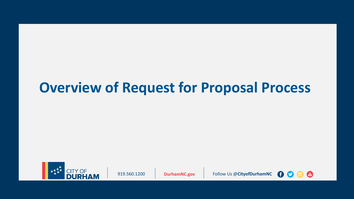#### **Overview of Request for Proposal Process**



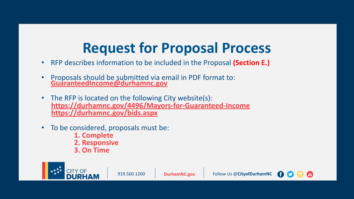## **Request for Proposal Process**

- RFP describes information to be included in the Proposal **(Section E.)**
- Proposals should be submitted via email in PDF format to: **[GuaranteedIncome@durhamnc.gov](mailto:GuaranteedIncome@durhamnc.gov)**
- The RFP is located on the following City website(s):  **<https://durhamnc.gov/4496/Mayors-for-Guaranteed-Income> <https://durhamnc.gov/bids.aspx>**
- To be considered, proposals must be:
	- **1. Complete 2. Responsive 3. On Time**



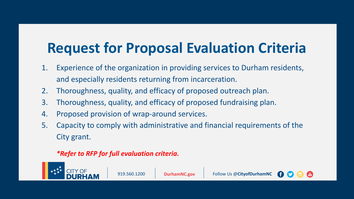## **Request for Proposal Evaluation Criteria**

- 1. Experience of the organization in providing services to Durham residents, and especially residents returning from incarceration.
- 2. Thoroughness, quality, and efficacy of proposed outreach plan.
- 3. Thoroughness, quality, and efficacy of proposed fundraising plan.
- 4. Proposed provision of wrap-around services.
- 5. Capacity to comply with administrative and financial requirements of the City grant.

#### *\*Refer to RFP for full evaluation criteria.*



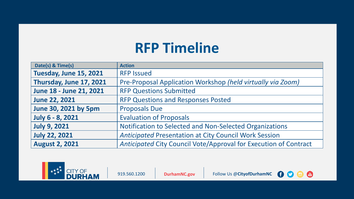#### **RFP Timeline**

| Date(s) & Time(s)       | <b>Action</b>                                                    |
|-------------------------|------------------------------------------------------------------|
| Tuesday, June 15, 2021  | <b>RFP Issued</b>                                                |
| Thursday, June 17, 2021 | Pre-Proposal Application Workshop (held virtually via Zoom)      |
| June 18 - June 21, 2021 | <b>RFP Questions Submitted</b>                                   |
| <b>June 22, 2021</b>    | <b>RFP Questions and Responses Posted</b>                        |
| June 30, 2021 by 5pm    | <b>Proposals Due</b>                                             |
| July 6 - 8, 2021        | <b>Evaluation of Proposals</b>                                   |
| <b>July 9, 2021</b>     | Notification to Selected and Non-Selected Organizations          |
| <b>July 22, 2021</b>    | <b>Anticipated Presentation at City Council Work Session</b>     |
| <b>August 2, 2021</b>   | Anticipated City Council Vote/Approval for Execution of Contract |



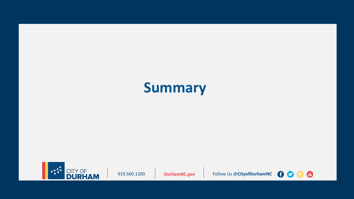#### **Summary**



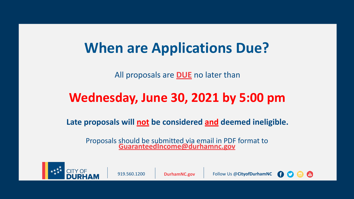## **When are Applications Due?**

All proposals are **DUE** no later than

#### **Wednesday, June 30, 2021 by 5:00 pm**

**Late proposals will not be considered and deemed ineligible.**

Proposals should be submitted via email in PDF format to **[GuaranteedIncome@durhamnc.gov](mailto:GuaranteedIncome@durhamnc.gov)**



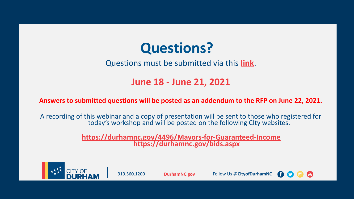

#### Questions must be submitted via this **[link](https://forms.office.com/Pages/DesignPage.aspx?auth_pvr=OrgId&auth_upn=Amber.Wade@durhamnc.gov&origin=OfficeDotCom&lang=en-US#FormId=gu99KTmUiEOoCDVIpOz0fQBw_1_psahFpkHij2s5j9pUMVROVk80WUlKQlFKNzc3TDRPMU9KQ1gwSS4u&Preview=%7B%22PreviousTopView%22%3A%22None%22%7D&TopView=Preview)**.

#### **June 18 - June 21, 2021**

**Answers to submitted questions will be posted as an addendum to the RFP on June 22, 2021.**

A recording of this webinar and a copy of presentation will be sent to those who registered for today's workshop and will be posted on the following CIty websites.

> **<https://durhamnc.gov/4496/Mayors-for-Guaranteed-Income> <https://durhamnc.gov/bids.aspx>**



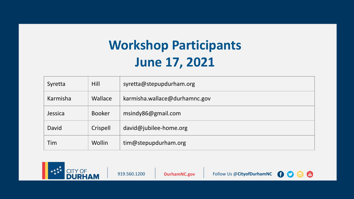#### **Workshop Participants June 17, 2021**

| Syretta  | Hill          | syretta@stepupdurham.org      |
|----------|---------------|-------------------------------|
| Karmisha | Wallace       | karmisha.wallace@durhamnc.gov |
| Jessica  | <b>Booker</b> | msindy86@gmail.com            |
| David    | Crispell      | david@jubilee-home.org        |
| Tim      | Wollin        | tim@stepupdurham.org          |